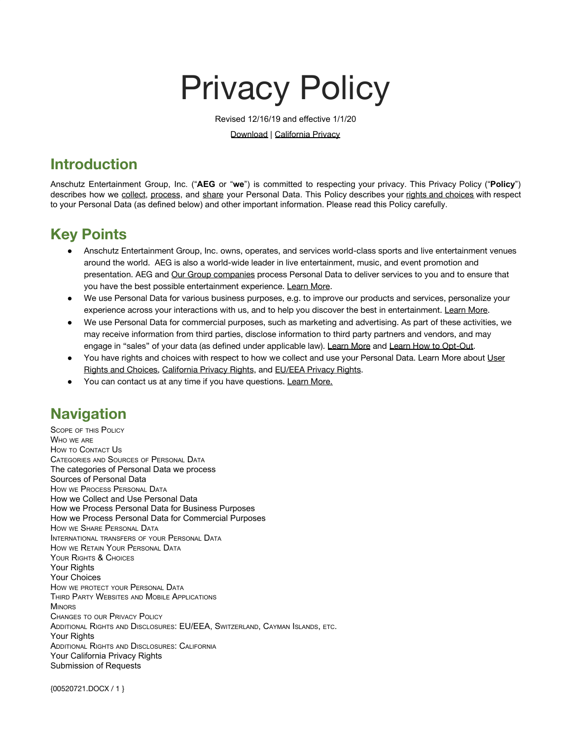# Privacy Policy

Revised 12/16/19 and effective 1/1/20

Download | [California Privacy](#page-13-0)

# **Introduction**

Anschutz Entertainment Group, Inc. ("**AEG** or "**we**") is committed to respecting your privacy. This Privacy Policy ("**Policy**") describes how we [collect,](#page-3-0) [process](#page-3-1), and [share](#page-9-0) your Personal Data. This Policy describes your rights and [choices](#page-10-0) with respect to your Personal Data (as defined below) and other important information. Please read this Policy carefully.

# **Key Points**

- Anschutz Entertainment Group, Inc. owns, operates, and services world-class sports and live entertainment venues around the world. AEG is also a world-wide leader in live entertainment, music, and event promotion and presentation. AEG and [Our Group companies](#page-1-0) process Personal Data to deliver services to you and to ensure that you have the best possible entertainment experience. [Learn More](#page-1-0).
- We use Personal Data for various business purposes, e.g. to improve our products and services, personalize your experience across your interactions with us, and to help you discover the best in entertainment. [Learn More](#page-7-0).
- We use Personal Data for commercial purposes, such as marketing and advertising. As part of these activities, we may receive information from third parties, disclose information to third party partners and vendors, and may engage in "sales" of your data (as defined under applicable law). [Learn More](#page-8-0) and [Learn How to Opt-Out.](#page-11-0)
- You have rights and choices with respect to how we collect and use your Personal Data. Learn More about [User](#page-10-0) [Rights and Choices,](#page-10-0) [California Privacy Rights,](#page-13-1) and [EU/EEA Privacy Rights](#page-12-0).
- You can contact us at any time if you have questions. [Learn More](#page-1-1).

# **Navigation**

[S](#page-1-2)[COPE](#page-1-2) [OF](#page-1-2) [THIS](#page-1-2) [P](#page-1-2)[OLICY](#page-1-2) [W](#page-1-0)[HO](#page-1-0) [WE](#page-1-0) [ARE](#page-1-0) [H](#page-1-1)[OW](#page-1-1) [TO](#page-1-1) [C](#page-1-1)[ONTACT](#page-1-1) [U](#page-1-1)[S](#page-1-1) [C](#page-2-0)[ATEGORIES](#page-2-0) [AND](#page-2-0) [S](#page-2-0)[OURCES](#page-2-0) [OF](#page-2-0) [P](#page-2-0)[ERSONAL](#page-2-0) [D](#page-2-0)[ATA](#page-2-0) [The categories of Personal Data we process](#page-2-1) [Sources of Personal Data](#page-3-2) [H](#page-3-1)[OW](#page-3-1) [WE](#page-3-1) [P](#page-3-1)[ROCESS](#page-3-1) [P](#page-3-1)[ERSONAL](#page-3-1) [D](#page-3-1)[ATA](#page-3-1) [How we Collect and Use Personal Data](#page-3-0) [How we Process Personal Data for Business Purposes](#page-7-0) [How we Process Personal Data for Commercial Purposes](#page-8-0) [H](#page-9-0)[OW](#page-9-0) [WE](#page-9-0) [S](#page-9-0)[HARE](#page-9-0) [P](#page-9-0)[ERSONAL](#page-9-0) [D](#page-9-0)[ATA](#page-9-0) [I](#page-10-1)[NTERNATIONAL](#page-10-1) [TRANSFERS](#page-10-1) [OF](#page-10-1) [YOUR](#page-10-1) [P](#page-10-1)[ERSONAL](#page-10-1) [D](#page-10-1)[ATA](#page-10-1) [H](#page-10-2)[OW](#page-10-2) [WE](#page-10-2) [R](#page-10-2)[ETAIN](#page-10-2) [Y](#page-10-2)[OUR](#page-10-2) [P](#page-10-2)[ERSONAL](#page-10-2) [D](#page-10-2)[ATA](#page-10-2) [Y](#page-10-0)[OUR](#page-10-0) [R](#page-10-0)[IGHTS](#page-10-0) [& C](#page-10-0)[HOICES](#page-10-0) [Your Rights](#page-10-3) [Your Choices](#page-11-0) [H](#page-11-1)ow we protect your [P](#page-11-1)[ERSONAL](#page-11-1) [D](#page-11-1)[ATA](#page-11-1) [T](#page-12-1)[HIRD](#page-12-1) [P](#page-12-1)[ARTY](#page-12-1) [W](#page-12-1)[EBSITES](#page-12-1) [AND](#page-12-1) [M](#page-12-1)[OBILE](#page-12-1) [A](#page-12-1)[PPLICATIONS](#page-12-1) **[M](#page-12-2)[INORS](#page-12-2)** [C](#page-12-3)[HANGES](#page-12-3) [TO](#page-12-3) [OUR](#page-12-3) [P](#page-12-3)[RIVACY](#page-12-3) [P](#page-12-3)[OLICY](#page-12-3) [A](#page-12-0)[DDITIONAL](#page-12-0) [R](#page-12-0)[IGHTS](#page-12-0) [AND](#page-12-0) [D](#page-12-0)[ISCLOSURES](#page-12-0)[: EU/EEA, S](#page-12-0)[WITZERLAND](#page-12-0)[, C](#page-12-0)[AYMAN](#page-12-0) [I](#page-12-0)[SLANDS](#page-12-0)[,](#page-12-0) [ETC](#page-12-0)[.](#page-12-0) [Your Rights](#page-12-4) [A](#page-13-0)[DDITIONAL](#page-13-0) [R](#page-13-0)[IGHTS](#page-13-0) [AND](#page-13-0) [D](#page-13-0)[ISCLOSURES](#page-13-0)[: C](#page-13-0)[ALIFORNIA](#page-13-0) [Your California Privacy Rights](#page-13-1) [Submission of Requests](#page-13-2)

{00520721.DOCX / 1 }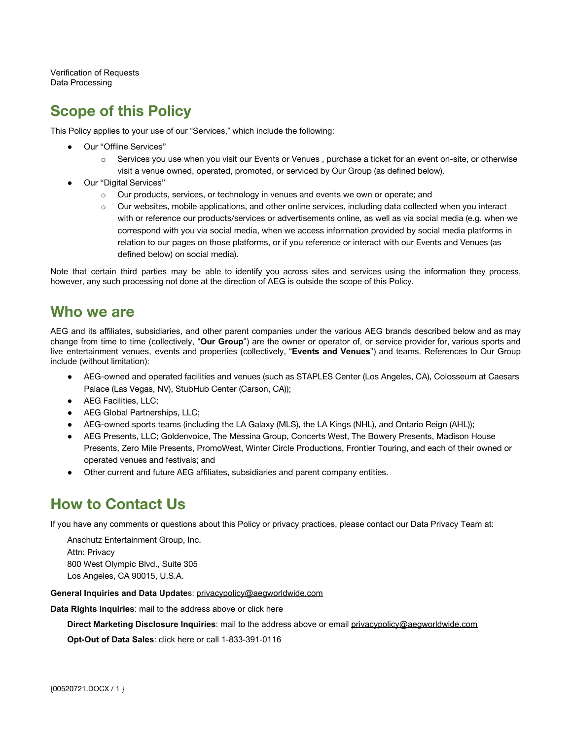[Verification of Requests](#page-14-0) [Data Processing](#page-14-1)

# <span id="page-1-2"></span>**Scope of this Policy**

This Policy applies to your use of our "Services," which include the following:

- Our "Offline Services"
	- o Services you use when you visit our Events or Venues , purchase a ticket for an event on-site, or otherwise visit a venue owned, operated, promoted, or serviced by Our Group (as defined below).
- Our "Digital Services"
	- $\circ$  Our products, services, or technology in venues and events we own or operate; and
	- $\circ$  Our websites, mobile applications, and other online services, including data collected when you interact with or reference our products/services or advertisements online, as well as via social media (e.g. when we correspond with you via social media, when we access information provided by social media platforms in relation to our pages on those platforms, or if you reference or interact with our Events and Venues (as defined below) on social media).

Note that certain third parties may be able to identify you across sites and services using the information they process, however, any such processing not done at the direction of AEG is outside the scope of this Policy.

### <span id="page-1-0"></span>**Who we are**

AEG and its affiliates, subsidiaries, and other parent companies under the various AEG brands described below and as may change from time to time (collectively, "**Our Group**") are the owner or operator of, or service provider for, various sports and live entertainment venues, events and properties (collectively, "**Events and Venues**") and teams. References to Our Group include (without limitation):

- AEG-owned and operated facilities and venues (such as STAPLES Center (Los Angeles, CA), Colosseum at Caesars Palace (Las Vegas, NV), StubHub Center (Carson, CA));
- AEG Facilities, LLC;
- AEG Global Partnerships, LLC;
- AEG-owned sports teams (including the LA Galaxy (MLS), the LA Kings (NHL), and Ontario Reign (AHL));
- AEG Presents, LLC; Goldenvoice, The Messina Group, Concerts West, The Bowery Presents, Madison House Presents, Zero Mile Presents, PromoWest, Winter Circle Productions, Frontier Touring, and each of their owned or operated venues and festivals; and
- Other current and future AEG affiliates, subsidiaries and parent company entities.

# <span id="page-1-1"></span>**How to Contact Us**

If you have any comments or questions about this Policy or privacy practices, please contact our Data Privacy Team at:

Anschutz Entertainment Group, Inc. Attn: Privacy 800 West Olympic Blvd., Suite 305 Los Angeles, CA 90015, U.S.A.

**General Inquiries and Data Update**s: [privacypolicy@aegworldwide.com](mailto:privacypolicy@aegworldwide.com)

**Data Rights Inquiries**: mail to the address above or click here

**Direct Marketing Disclosure Inquiries**: mail to the address above or email [privacypolicy@aegworldwide.com](mailto:privacypolicy@aegworldwide.com)

**Opt-Out of Data Sales**: click here or call 1-833-391-0116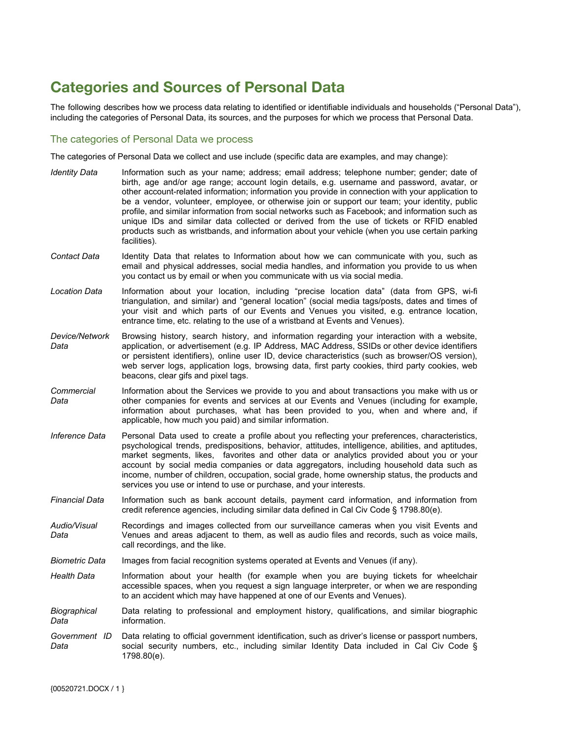# <span id="page-2-0"></span>**Categories and Sources of Personal Data**

The following describes how we process data relating to identified or identifiable individuals and households ("Personal Data"), including the categories of Personal Data, its sources, and the purposes for which we process that Personal Data.

#### <span id="page-2-1"></span>The categories of Personal Data we process

The categories of Personal Data we collect and use include (specific data are examples, and may change):

*Identity Data* Information such as your name; address; email address; telephone number; gender; date of birth, age and/or age range; account login details, e.g. username and password, avatar, or other account-related information; information you provide in connection with your application to be a vendor, volunteer, employee, or otherwise join or support our team; your identity, public profile, and similar information from social networks such as Facebook; and information such as unique IDs and similar data collected or derived from the use of tickets or RFID enabled products such as wristbands, and information about your vehicle (when you use certain parking facilities). *Contact Data* Identity Data that relates to Information about how we can communicate with you, such as email and physical addresses, social media handles, and information you provide to us when you contact us by email or when you communicate with us via social media. *Location Data* Information about your location, including "precise location data" (data from GPS, wi-fi triangulation, and similar) and "general location" (social media tags/posts, dates and times of your visit and which parts of our Events and Venues you visited, e.g. entrance location, entrance time, etc. relating to the use of a wristband at Events and Venues). *Device/Network Data* Browsing history, search history, and information regarding your interaction with a website, application, or advertisement (e.g. IP Address, MAC Address, SSIDs or other device identifiers or persistent identifiers), online user ID, device characteristics (such as browser/OS version), web server logs, application logs, browsing data, first party cookies, third party cookies, web beacons, clear gifs and pixel tags. *Commercial Data* Information about the Services we provide to you and about transactions you make with us or other companies for events and services at our Events and Venues (including for example, information about purchases, what has been provided to you, when and where and, if applicable, how much you paid) and similar information. *Inference Data* Personal Data used to create a profile about you reflecting your preferences, characteristics, psychological trends, predispositions, behavior, attitudes, intelligence, abilities, and aptitudes, market segments, likes, favorites and other data or analytics provided about you or your account by social media companies or data aggregators, including household data such as income, number of children, occupation, social grade, home ownership status, the products and services you use or intend to use or purchase, and your interests. *Financial Data* Information such as bank account details, payment card information, and information from credit reference agencies, including similar data defined in Cal Civ Code § 1798.80(e). *Audio/Visual Data* Recordings and images collected from our surveillance cameras when you visit Events and Venues and areas adjacent to them, as well as audio files and records, such as voice mails, call recordings, and the like. *Biometric Data* Images from facial recognition systems operated at Events and Venues (if any). Health Data Information about your health (for example when you are buying tickets for wheelchair accessible spaces, when you request a sign language interpreter, or when we are responding to an accident which may have happened at one of our Events and Venues). *Biographical Data* Data relating to professional and employment history, qualifications, and similar biographic information. *Government ID Data* Data relating to official government identification, such as driver's license or passport numbers, social security numbers, etc., including similar Identity Data included in Cal Civ Code § 1798.80(e).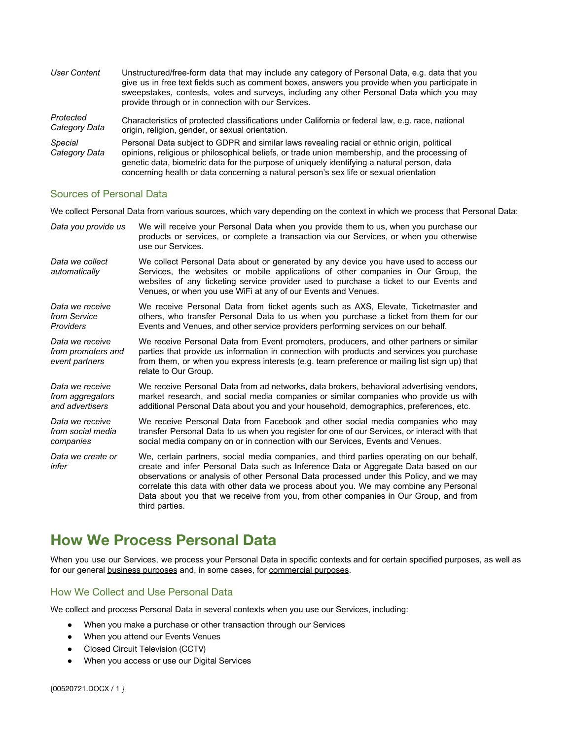| <b>User Content</b>             | Unstructured/free-form data that may include any category of Personal Data, e.g. data that you<br>give us in free text fields such as comment boxes, answers you provide when you participate in<br>sweepstakes, contests, votes and surveys, including any other Personal Data which you may<br>provide through or in connection with our Services.                                   |
|---------------------------------|----------------------------------------------------------------------------------------------------------------------------------------------------------------------------------------------------------------------------------------------------------------------------------------------------------------------------------------------------------------------------------------|
| Protected<br>Category Data      | Characteristics of protected classifications under California or federal law, e.g. race, national<br>origin, religion, gender, or sexual orientation.                                                                                                                                                                                                                                  |
| <b>Special</b><br>Category Data | Personal Data subject to GDPR and similar laws revealing racial or ethnic origin, political<br>opinions, religious or philosophical beliefs, or trade union membership, and the processing of<br>genetic data, biometric data for the purpose of uniquely identifying a natural person, data<br>concerning health or data concerning a natural person's sex life or sexual orientation |

#### <span id="page-3-2"></span>Sources of Personal Data

We collect Personal Data from various sources, which vary depending on the context in which we process that Personal Data:

| Data you provide us                                     | We will receive your Personal Data when you provide them to us, when you purchase our<br>products or services, or complete a transaction via our Services, or when you otherwise<br>use our Services.                                                                                                                                                                                                                                                                          |
|---------------------------------------------------------|--------------------------------------------------------------------------------------------------------------------------------------------------------------------------------------------------------------------------------------------------------------------------------------------------------------------------------------------------------------------------------------------------------------------------------------------------------------------------------|
| Data we collect<br>automatically                        | We collect Personal Data about or generated by any device you have used to access our<br>Services, the websites or mobile applications of other companies in Our Group, the<br>websites of any ticketing service provider used to purchase a ticket to our Events and<br>Venues, or when you use WiFi at any of our Events and Venues.                                                                                                                                         |
| Data we receive<br>from Service<br>Providers            | We receive Personal Data from ticket agents such as AXS, Elevate, Ticketmaster and<br>others, who transfer Personal Data to us when you purchase a ticket from them for our<br>Events and Venues, and other service providers performing services on our behalf.                                                                                                                                                                                                               |
| Data we receive<br>from promoters and<br>event partners | We receive Personal Data from Event promoters, producers, and other partners or similar<br>parties that provide us information in connection with products and services you purchase<br>from them, or when you express interests (e.g. team preference or mailing list sign up) that<br>relate to Our Group.                                                                                                                                                                   |
| Data we receive<br>from aggregators<br>and advertisers  | We receive Personal Data from ad networks, data brokers, behavioral advertising vendors,<br>market research, and social media companies or similar companies who provide us with<br>additional Personal Data about you and your household, demographics, preferences, etc.                                                                                                                                                                                                     |
| Data we receive<br>from social media<br>companies       | We receive Personal Data from Facebook and other social media companies who may<br>transfer Personal Data to us when you register for one of our Services, or interact with that<br>social media company on or in connection with our Services, Events and Venues.                                                                                                                                                                                                             |
| Data we create or<br>infer                              | We, certain partners, social media companies, and third parties operating on our behalf,<br>create and infer Personal Data such as Inference Data or Aggregate Data based on our<br>observations or analysis of other Personal Data processed under this Policy, and we may<br>correlate this data with other data we process about you. We may combine any Personal<br>Data about you that we receive from you, from other companies in Our Group, and from<br>third parties. |

# <span id="page-3-1"></span>**How We Process Personal Data**

When you use our Services, we process your Personal Data in specific contexts and for certain specified purposes, as well as for our general [business purposes](#page-7-0) and, in some cases, for [commercial purposes.](#page-8-0)

#### <span id="page-3-0"></span>How We Collect and Use Personal Data

We collect and process Personal Data in several contexts when you use our Services, including:

- When you make a purchase or other transaction through our Services
- When you attend our Events Venues
- Closed Circuit Television (CCTV)
- When you access or use our Digital Services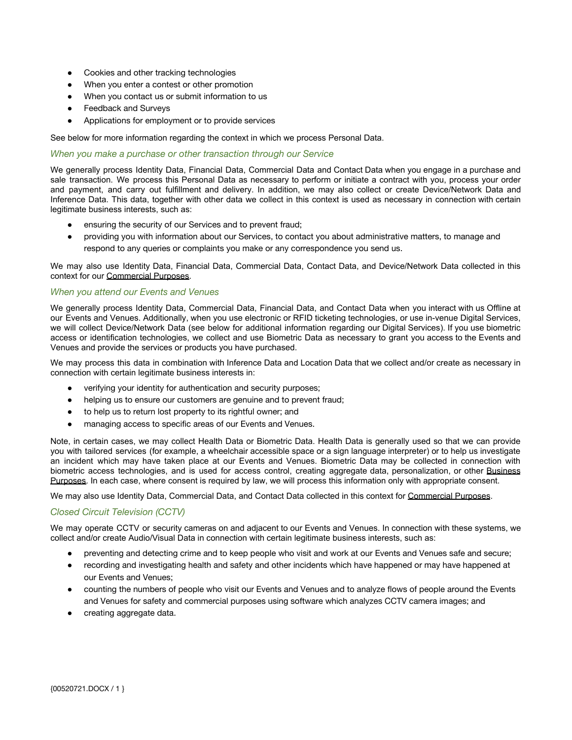- Cookies and other tracking technologies
- When you enter a contest or other promotion
- When you contact us or submit information to us
- **Feedback and Surveys**
- Applications for employment or to provide services

See below for more information regarding the context in which we process Personal Data.

#### <span id="page-4-0"></span>*When you make a purchase or other transaction through our Service*

We generally process Identity Data, Financial Data, Commercial Data and Contact Data when you engage in a purchase and sale transaction. We process this Personal Data as necessary to perform or initiate a contract with you, process your order and payment, and carry out fulfillment and delivery. In addition, we may also collect or create Device/Network Data and Inference Data. This data, together with other data we collect in this context is used as necessary in connection with certain legitimate business interests, such as:

- ensuring the security of our Services and to prevent fraud;
- providing you with information about our Services, to contact you about administrative matters, to manage and respond to any queries or complaints you make or any correspondence you send us.

We may also use Identity Data, Financial Data, Commercial Data, Contact Data, and Device/Network Data collected in this context for our [Commercial Purposes](#page-8-0).

#### <span id="page-4-1"></span>*When you attend our Events and Venues*

We generally process Identity Data, Commercial Data, Financial Data, and Contact Data when you interact with us Offline at our Events and Venues. Additionally, when you use electronic or RFID ticketing technologies, or use in-venue Digital Services, we will collect Device/Network Data (see below for additional information regarding our Digital Services). If you use biometric access or identification technologies, we collect and use Biometric Data as necessary to grant you access to the Events and Venues and provide the services or products you have purchased.

We may process this data in combination with Inference Data and Location Data that we collect and/or create as necessary in connection with certain legitimate business interests in:

- verifying your identity for authentication and security purposes;
- helping us to ensure our customers are genuine and to prevent fraud;
- to help us to return lost property to its rightful owner; and
- managing access to specific areas of our Events and Venues.

Note, in certain cases, we may collect Health Data or Biometric Data. Health Data is generally used so that we can provide you with tailored services (for example, a wheelchair accessible space or a sign language interpreter) or to help us investigate an incident which may have taken place at our Events and Venues. Biometric Data may be collected in connection with biometric access technologies, and is used for access control, creating aggregate data, personalization, or other [Business](#page-7-0) [Purposes](#page-7-0). In each case, where consent is required by law, we will process this information only with appropriate consent.

We may also use Identity Data, Commercial Data, and Contact Data collected in this context for [Commercial Purposes](#page-8-0).

#### *Closed Circuit Television (CCTV)*

We may operate CCTV or security cameras on and adiacent to our Events and Venues. In connection with these systems, we collect and/or create Audio/Visual Data in connection with certain legitimate business interests, such as:

- preventing and detecting crime and to keep people who visit and work at our Events and Venues safe and secure;
- recording and investigating health and safety and other incidents which have happened or may have happened at our Events and Venues;
- counting the numbers of people who visit our Events and Venues and to analyze flows of people around the Events and Venues for safety and commercial purposes using software which analyzes CCTV camera images; and
- creating aggregate data.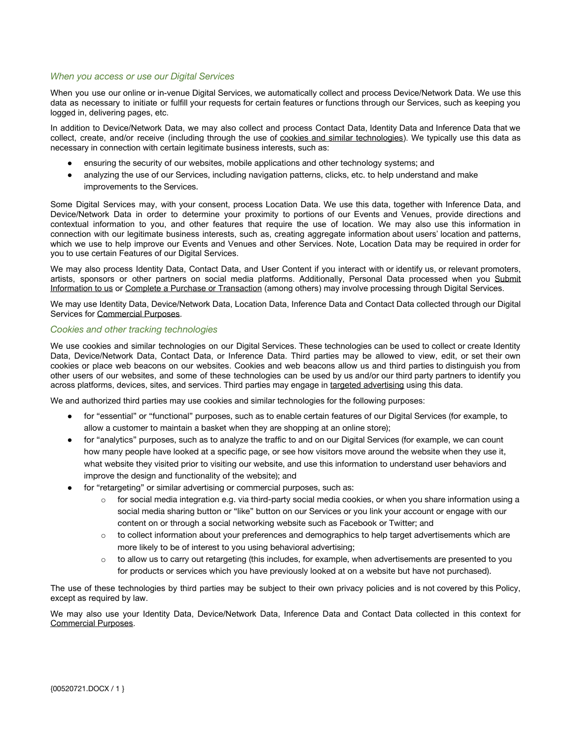#### <span id="page-5-1"></span>*When you access or use our Digital Services*

When you use our online or in-venue Digital Services, we automatically collect and process Device/Network Data. We use this data as necessary to initiate or fulfill your requests for certain features or functions through our Services, such as keeping you logged in, delivering pages, etc.

In addition to Device/Network Data, we may also collect and process Contact Data, Identity Data and Inference Data that we collect, create, and/or receive (including through the use of cookies and similar [technologies\)](#page-5-0). We typically use this data as necessary in connection with certain legitimate business interests, such as:

- ensuring the security of our websites, mobile applications and other technology systems; and
- analyzing the use of our Services, including navigation patterns, clicks, etc. to help understand and make improvements to the Services.

Some Digital Services may, with your consent, process Location Data. We use this data, together with Inference Data, and Device/Network Data in order to determine your proximity to portions of our Events and Venues, provide directions and contextual information to you, and other features that require the use of location. We may also use this information in connection with our legitimate business interests, such as, creating aggregate information about users' location and patterns, which we use to help improve our Events and Venues and other Services. Note, Location Data may be required in order for you to use certain Features of our Digital Services.

We may also process Identity Data, Contact Data, and User Content if you interact with or identify us, or relevant promoters, artists, sponsors or other partners on social media platforms. Additionally, Personal Data processed when you [Submit](#page-6-0) [Information to us](#page-6-0) or [Complete a Purchase or Transaction](#page-4-0) (among others) may involve processing through Digital Services.

We may use Identity Data, Device/Network Data, Location Data, Inference Data and Contact Data collected through our Digital Services for [Commercial Purposes.](#page-8-0)

#### <span id="page-5-0"></span>*Cookies and other tracking technologies*

We use cookies and similar technologies on our Digital Services. These technologies can be used to collect or create Identity Data, Device/Network Data, Contact Data, or Inference Data. Third parties may be allowed to view, edit, or set their own cookies or place web beacons on our websites. Cookies and web beacons allow us and third parties to distinguish you from other users of our websites, and some of these technologies can be used by us and/or our third party partners to identify you across platforms, devices, sites, and services. Third parties may engage in [targeted advertising](#page-9-1) using this data.

We and authorized third parties may use cookies and similar technologies for the following purposes:

- for "essential" or "functional" purposes, such as to enable certain features of our Digital Services (for example, to allow a customer to maintain a basket when they are shopping at an online store);
- for "analytics" purposes, such as to analyze the traffic to and on our Digital Services (for example, we can count how many people have looked at a specific page, or see how visitors move around the website when they use it, what website they visited prior to visiting our website, and use this information to understand user behaviors and improve the design and functionality of the website); and
- for "retargeting" or similar advertising or commercial purposes, such as:
	- $\circ$  for social media integration e.g. via third-party social media cookies, or when you share information using a social media sharing button or "like" button on our Services or you link your account or engage with our content on or through a social networking website such as Facebook or Twitter; and
	- $\circ$  to collect information about your preferences and demographics to help target advertisements which are more likely to be of interest to you using behavioral advertising;
	- o to allow us to carry out retargeting (this includes, for example, when advertisements are presented to you for products or services which you have previously looked at on a website but have not purchased).

The use of these technologies by third parties may be subject to their own privacy policies and is not covered by this Policy, except as required by law.

We may also use your Identity Data, Device/Network Data, Inference Data and Contact Data collected in this context for Commercial Purposes.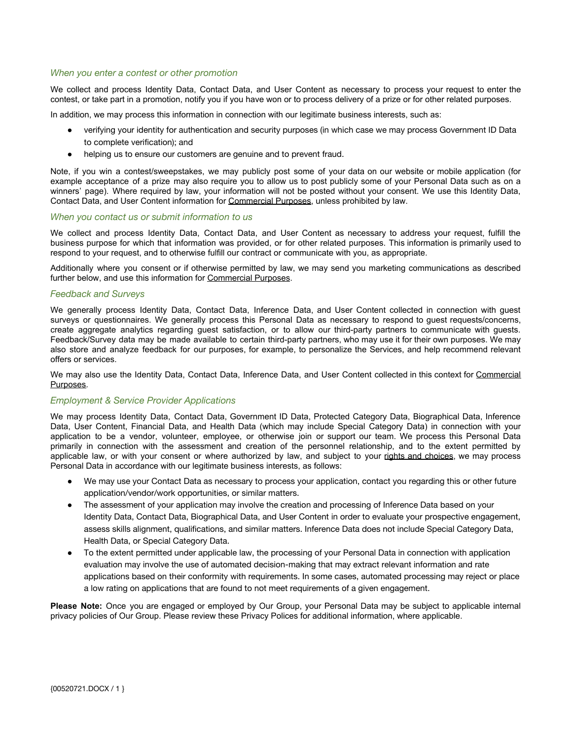#### <span id="page-6-1"></span>*When you enter a contest or other promotion*

We collect and process Identity Data, Contact Data, and User Content as necessary to process your request to enter the contest, or take part in a promotion, notify you if you have won or to process delivery of a prize or for other related purposes.

In addition, we may process this information in connection with our legitimate business interests, such as:

- verifying your identity for authentication and security purposes (in which case we may process Government ID Data to complete verification); and
- helping us to ensure our customers are genuine and to prevent fraud.

Note, if you win a contest/sweepstakes, we may publicly post some of your data on our website or mobile application (for example acceptance of a prize may also require you to allow us to post publicly some of your Personal Data such as on a winners' page). Where required by law, your information will not be posted without your consent. We use this Identity Data, Contact Data, and User Content information for [Commercial Purposes](#page-8-0), unless prohibited by law.

#### <span id="page-6-0"></span>*When you contact us or submit information to us*

We collect and process Identity Data, Contact Data, and User Content as necessary to address your request, fulfill the business purpose for which that information was provided, or for other related purposes. This information is primarily used to respond to your request, and to otherwise fulfill our contract or communicate with you, as appropriate.

Additionally where you consent or if otherwise permitted by law, we may send you marketing communications as described further below, and use this information for [Commercial Purposes](#page-8-0).

#### <span id="page-6-2"></span>*Feedback and Surveys*

We generally process Identity Data, Contact Data, Inference Data, and User Content collected in connection with guest surveys or questionnaires. We generally process this Personal Data as necessary to respond to guest requests/concerns, create aggregate analytics regarding guest satisfaction, or to allow our third-party partners to communicate with guests. Feedback/Survey data may be made available to certain third-party partners, who may use it for their own purposes. We may also store and analyze feedback for our purposes, for example, to personalize the Services, and help recommend relevant offers or services.

We may also use the Identity Data, Contact Data, Inference Data, and User Content collected in this context for [Commercial](#page-8-0) [Purposes](#page-8-0).

#### *Employment & Service Provider Applications*

We may process Identity Data, Contact Data, Government ID Data, Protected Category Data, Biographical Data, Inference Data, User Content, Financial Data, and Health Data (which may include Special Category Data) in connection with your application to be a vendor, volunteer, employee, or otherwise join or support our team. We process this Personal Data primarily in connection with the assessment and creation of the personnel relationship, and to the extent permitted by applicable law, or with your consent or where authorized by law, and subject to your rights and [choices](#page-10-0), we may process Personal Data in accordance with our legitimate business interests, as follows:

- We may use your Contact Data as necessary to process your application, contact you regarding this or other future application/vendor/work opportunities, or similar matters.
- The assessment of your application may involve the creation and processing of Inference Data based on your Identity Data, Contact Data, Biographical Data, and User Content in order to evaluate your prospective engagement, assess skills alignment, qualifications, and similar matters. Inference Data does not include Special Category Data, Health Data, or Special Category Data.
- To the extent permitted under applicable law, the processing of your Personal Data in connection with application evaluation may involve the use of automated decision-making that may extract relevant information and rate applications based on their conformity with requirements. In some cases, automated processing may reject or place a low rating on applications that are found to not meet requirements of a given engagement.

**Please Note:** Once you are engaged or employed by Our Group, your Personal Data may be subject to applicable internal privacy policies of Our Group. Please review these Privacy Polices for additional information, where applicable.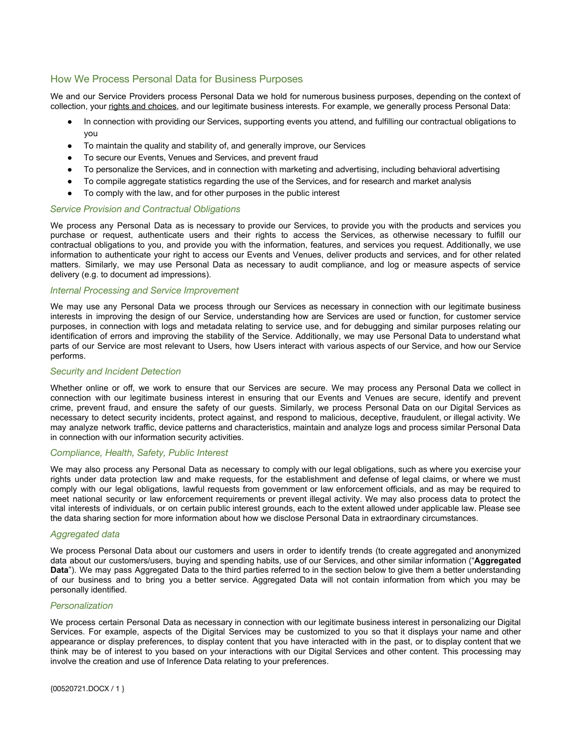#### <span id="page-7-0"></span>How We Process Personal Data for Business Purposes

We and our Service Providers process Personal Data we hold for numerous business purposes, depending on the context of collection, your [rights and choices](#page-10-0), and our legitimate business interests. For example, we generally process Personal Data:

- In connection with providing our Services, supporting events you attend, and fulfilling our contractual obligations to you
- To maintain the quality and stability of, and generally improve, our Services
- To secure our Events, Venues and Services, and prevent fraud
- To personalize the Services, and in connection with marketing and advertising, including behavioral advertising
- To compile aggregate statistics regarding the use of the Services, and for research and market analysis
- To comply with the law, and for other purposes in the public interest

#### *Service Provision and Contractual Obligations*

We process any Personal Data as is necessary to provide our Services, to provide you with the products and services you purchase or request, authenticate users and their rights to access the Services, as otherwise necessary to fulfill our contractual obligations to you, and provide you with the information, features, and services you request. Additionally, we use information to authenticate your right to access our Events and Venues, deliver products and services, and for other related matters. Similarly, we may use Personal Data as necessary to audit compliance, and log or measure aspects of service delivery (e.g. to document ad impressions).

#### *Internal Processing and Service Improvement*

We may use any Personal Data we process through our Services as necessary in connection with our legitimate business interests in improving the design of our Service, understanding how are Services are used or function, for customer service purposes, in connection with logs and metadata relating to service use, and for debugging and similar purposes relating our identification of errors and improving the stability of the Service. Additionally, we may use Personal Data to understand what parts of our Service are most relevant to Users, how Users interact with various aspects of our Service, and how our Service performs.

#### *Security and Incident Detection*

Whether online or off, we work to ensure that our Services are secure. We may process any Personal Data we collect in connection with our legitimate business interest in ensuring that our Events and Venues are secure, identify and prevent crime, prevent fraud, and ensure the safety of our guests. Similarly, we process Personal Data on our Digital Services as necessary to detect security incidents, protect against, and respond to malicious, deceptive, fraudulent, or illegal activity. We may analyze network traffic, device patterns and characteristics, maintain and analyze logs and process similar Personal Data in connection with our information security activities.

#### *Compliance, Health, Safety, Public Interest*

We may also process any Personal Data as necessary to comply with our legal obligations, such as where you exercise your rights under data protection law and make requests, for the establishment and defense of legal claims, or where we must comply with our legal obligations, lawful requests from government or law enforcement officials, and as may be required to meet national security or law enforcement requirements or prevent illegal activity. We may also process data to protect the vital interests of individuals, or on certain public interest grounds, each to the extent allowed under applicable law. Please see the data sharing section for more information about how we disclose Personal Data in extraordinary circumstances.

#### *Aggregated data*

We process Personal Data about our customers and users in order to identify trends (to create aggregated and anonymized data about our customers/users, buying and spending habits, use of our Services, and other similar information ("**Aggregated Data**"). We may pass Aggregated Data to the third parties referred to in the section below to give them a better understanding of our business and to bring you a better service. Aggregated Data will not contain information from which you may be personally identified.

#### <span id="page-7-1"></span>*Personalization*

We process certain Personal Data as necessary in connection with our legitimate business interest in personalizing our Digital Services. For example, aspects of the Digital Services may be customized to you so that it displays your name and other appearance or display preferences, to display content that you have interacted with in the past, or to display content that we think may be of interest to you based on your interactions with our Digital Services and other content. This processing may involve the creation and use of Inference Data relating to your preferences.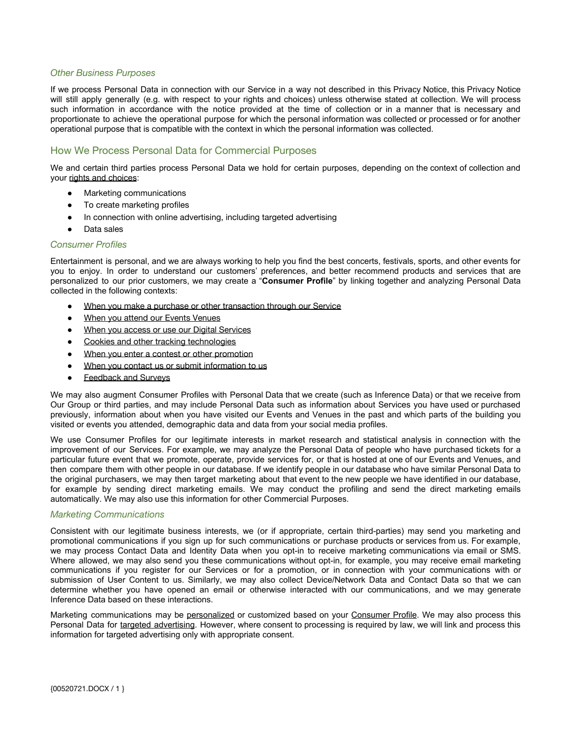#### *Other Business Purposes*

If we process Personal Data in connection with our Service in a way not described in this Privacy Notice, this Privacy Notice will still apply generally (e.g. with respect to your rights and choices) unless otherwise stated at collection. We will process such information in accordance with the notice provided at the time of collection or in a manner that is necessary and proportionate to achieve the operational purpose for which the personal information was collected or processed or for another operational purpose that is compatible with the context in which the personal information was collected.

#### <span id="page-8-0"></span>How We Process Personal Data for Commercial Purposes

We and certain third parties process Personal Data we hold for certain purposes, depending on the context of collection and your [rights and choices](#page-10-0):

- **Marketing communications**
- To create marketing profiles
- In connection with online advertising, including targeted advertising
- Data sales

#### <span id="page-8-1"></span>*Consumer Profiles*

Entertainment is personal, and we are always working to help you find the best concerts, festivals, sports, and other events for you to enjoy. In order to understand our customers' preferences, and better recommend products and services that are personalized to our prior customers, we may create a "**Consumer Profile**" by linking together and analyzing Personal Data collected in the following contexts:

- [When you make a purchase or other transaction through our Service](#page-4-0)
- [When you attend our Events Venues](#page-4-1)
- [When you access or use our Digital Services](#page-5-1)
- [Cookies and other tracking technologies](#page-5-0)
- [When you enter a contest or other promotion](#page-6-1)
- [When you contact us or submit information to us](#page-6-0)
- [Feedback and Surveys](#page-6-2)

We may also augment Consumer Profiles with Personal Data that we create (such as Inference Data) or that we receive from Our Group or third parties, and may include Personal Data such as information about Services you have used or purchased previously, information about when you have visited our Events and Venues in the past and which parts of the building you visited or events you attended, demographic data and data from your social media profiles.

We use Consumer Profiles for our legitimate interests in market research and statistical analysis in connection with the improvement of our Services. For example, we may analyze the Personal Data of people who have purchased tickets for a particular future event that we promote, operate, provide services for, or that is hosted at one of our Events and Venues, and then compare them with other people in our database. If we identify people in our database who have similar Personal Data to the original purchasers, we may then target marketing about that event to the new people we have identified in our database, for example by sending direct marketing emails. We may conduct the profiling and send the direct marketing emails automatically. We may also use this information for other Commercial Purposes.

#### <span id="page-8-2"></span>*Marketing Communications*

Consistent with our legitimate business interests, we (or if appropriate, certain third-parties) may send you marketing and promotional communications if you sign up for such communications or purchase products or services from us. For example, we may process Contact Data and Identity Data when you opt-in to receive marketing communications via email or SMS. Where allowed, we may also send you these communications without opt-in, for example, you may receive email marketing communications if you register for our Services or for a promotion, or in connection with your communications with or submission of User Content to us. Similarly, we may also collect Device/Network Data and Contact Data so that we can determine whether you have opened an email or otherwise interacted with our communications, and we may generate Inference Data based on these interactions.

Marketing communications may be [personalized](#page-7-1) or customized based on your [Consumer](#page-8-1) Profile. We may also process this Personal Data for targeted [advertising](#page-9-1). However, where consent to processing is required by law, we will link and process this information for targeted advertising only with appropriate consent.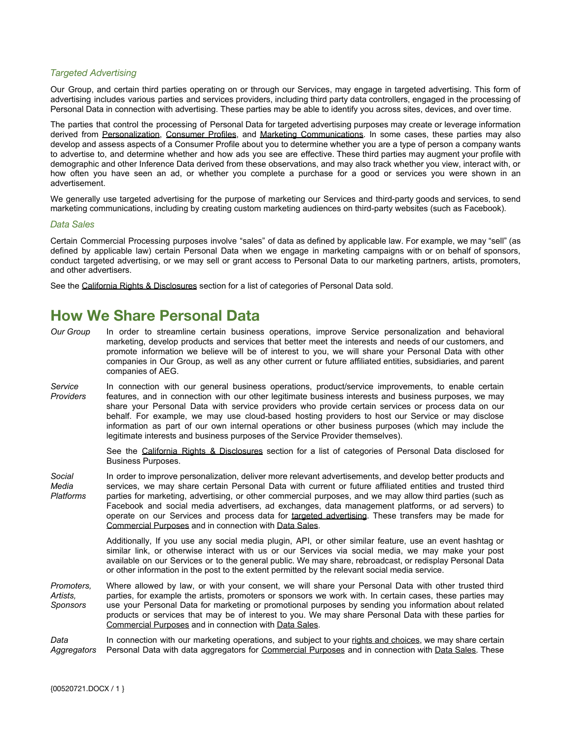#### <span id="page-9-1"></span>*Targeted Advertising*

Our Group, and certain third parties operating on or through our Services, may engage in targeted advertising. This form of advertising includes various parties and services providers, including third party data controllers, engaged in the processing of Personal Data in connection with advertising. These parties may be able to identify you across sites, devices, and over time.

The parties that control the processing of Personal Data for targeted advertising purposes may create or leverage information derived from [Personalization](#page-7-1), [Consumer](#page-8-1) Profiles, and Marketing [Communications](#page-8-2). In some cases, these parties may also develop and assess aspects of a Consumer Profile about you to determine whether you are a type of person a company wants to advertise to, and determine whether and how ads you see are effective. These third parties may augment your profile with demographic and other Inference Data derived from these observations, and may also track whether you view, interact with, or how often you have seen an ad, or whether you complete a purchase for a good or services you were shown in an advertisement.

We generally use targeted advertising for the purpose of marketing our Services and third-party goods and services, to send marketing communications, including by creating custom marketing audiences on third-party websites (such as Facebook).

#### <span id="page-9-2"></span>*Data Sales*

Certain Commercial Processing purposes involve "sales" of data as defined by applicable law. For example, we may "sell" (as defined by applicable law) certain Personal Data when we engage in marketing campaigns with or on behalf of sponsors, conduct targeted advertising, or we may sell or grant access to Personal Data to our marketing partners, artists, promoters, and other advertisers.

See the [California Rights & Disclosures](#page-13-0) section for a list of categories of Personal Data sold.

### <span id="page-9-0"></span>**How We Share Personal Data**

- *Our Group* In order to streamline certain business operations, improve Service personalization and behavioral marketing, develop products and services that better meet the interests and needs of our customers, and promote information we believe will be of interest to you, we will share your Personal Data with other companies in Our Group, as well as any other current or future affiliated entities, subsidiaries, and parent companies of AEG.
- *Service Providers* In connection with our general business operations, product/service improvements, to enable certain features, and in connection with our other legitimate business interests and business purposes, we may share your Personal Data with service providers who provide certain services or process data on our behalf. For example, we may use cloud-based hosting providers to host our Service or may disclose information as part of our own internal operations or other business purposes (which may include the legitimate interests and business purposes of the Service Provider themselves).

See the California Rights & [Disclosures](#page-13-0) section for a list of categories of Personal Data disclosed for Business Purposes.

*Social Media Platforms* In order to improve personalization, deliver more relevant advertisements, and develop better products and services, we may share certain Personal Data with current or future affiliated entities and trusted third parties for marketing, advertising, or other commercial purposes, and we may allow third parties (such as Facebook and social media advertisers, ad exchanges, data management platforms, or ad servers) to operate on our Services and process data for targeted [advertising.](#page-9-1) These transfers may be made for [Commercial Purposes](#page-8-0) and in connection with [Data Sales](#page-9-2).

> Additionally, If you use any social media plugin, API, or other similar feature, use an event hashtag or similar link, or otherwise interact with us or our Services via social media, we may make your post available on our Services or to the general public. We may share, rebroadcast, or redisplay Personal Data or other information in the post to the extent permitted by the relevant social media service.

*Promoters, Artists, Sponsors* Where allowed by law, or with your consent, we will share your Personal Data with other trusted third parties, for example the artists, promoters or sponsors we work with. In certain cases, these parties may use your Personal Data for marketing or promotional purposes by sending you information about related products or services that may be of interest to you. We may share Personal Data with these parties for [Commercial Purposes](#page-8-0) and in connection with [Data Sales](#page-9-2).

*Data Aggregators* In connection with our marketing operations, and subject to your rights and [choices](#page-10-0), we may share certain Personal Data with data aggregators for [Commercial](#page-8-0) Purposes and in connection with Data [Sales.](#page-9-2) These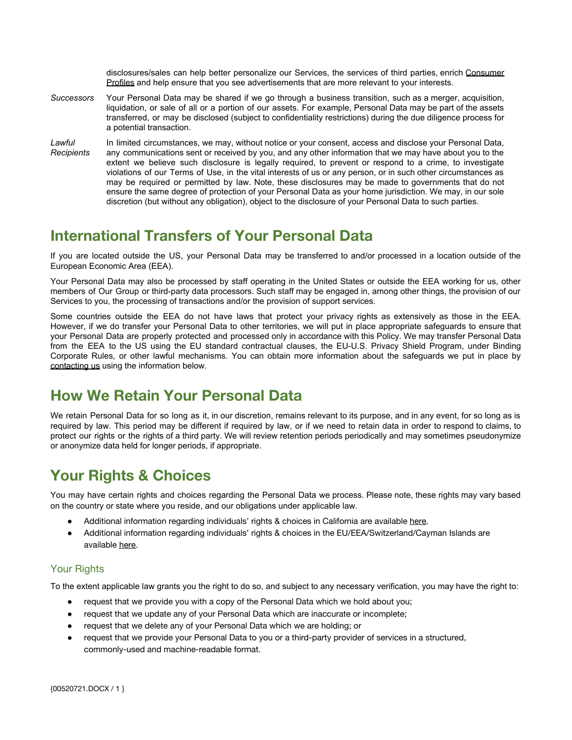disclosures/sales can help better personalize our Services, the services of third parties, enrich [Consumer](#page-8-1) [Profiles](#page-8-1) and help ensure that you see advertisements that are more relevant to your interests.

- *Successors* Your Personal Data may be shared if we go through a business transition, such as a merger, acquisition, liquidation, or sale of all or a portion of our assets. For example, Personal Data may be part of the assets transferred, or may be disclosed (subject to confidentiality restrictions) during the due diligence process for a potential transaction.
- *Lawful Recipients* In limited circumstances, we may, without notice or your consent, access and disclose your Personal Data, any communications sent or received by you, and any other information that we may have about you to the extent we believe such disclosure is legally required, to prevent or respond to a crime, to investigate violations of our Terms of Use, in the vital interests of us or any person, or in such other circumstances as may be required or permitted by law. Note, these disclosures may be made to governments that do not ensure the same degree of protection of your Personal Data as your home jurisdiction. We may, in our sole discretion (but without any obligation), object to the disclosure of your Personal Data to such parties.

# <span id="page-10-1"></span>**International Transfers of Your Personal Data**

If you are located outside the US, your Personal Data may be transferred to and/or processed in a location outside of the European Economic Area (EEA).

Your Personal Data may also be processed by staff operating in the United States or outside the EEA working for us, other members of Our Group or third-party data processors. Such staff may be engaged in, among other things, the provision of our Services to you, the processing of transactions and/or the provision of support services.

Some countries outside the EEA do not have laws that protect your privacy rights as extensively as those in the EEA. However, if we do transfer your Personal Data to other territories, we will put in place appropriate safeguards to ensure that your Personal Data are properly protected and processed only in accordance with this Policy. We may transfer Personal Data from the EEA to the US using the EU standard contractual clauses, the EU-U.S. Privacy Shield Program, under Binding Corporate Rules, or other lawful mechanisms. You can obtain more information about the safeguards we put in place by [contacting us](#page-1-1) using the information below.

# <span id="page-10-2"></span>**How We Retain Your Personal Data**

We retain Personal Data for so long as it, in our discretion, remains relevant to its purpose, and in any event, for so long as is required by law. This period may be different if required by law, or if we need to retain data in order to respond to claims, to protect our rights or the rights of a third party. We will review retention periods periodically and may sometimes pseudonymize or anonymize data held for longer periods, if appropriate.

# <span id="page-10-0"></span>**Your Rights & Choices**

You may have certain rights and choices regarding the Personal Data we process. Please note, these rights may vary based on the country or state where you reside, and our obligations under applicable law.

- Additional information regarding individuals' rights & choices in California are available [here.](#page-13-0)
- Additional information regarding individuals' rights & choices in the EU/EEA/Switzerland/Cayman Islands are available [here.](#page-12-0)

#### <span id="page-10-3"></span>Your Rights

To the extent applicable law grants you the right to do so, and subject to any necessary verification, you may have the right to:

- request that we provide you with a copy of the Personal Data which we hold about you;
- request that we update any of your Personal Data which are inaccurate or incomplete;
- request that we delete any of your Personal Data which we are holding; or
- request that we provide your Personal Data to you or a third-party provider of services in a structured, commonly-used and machine-readable format.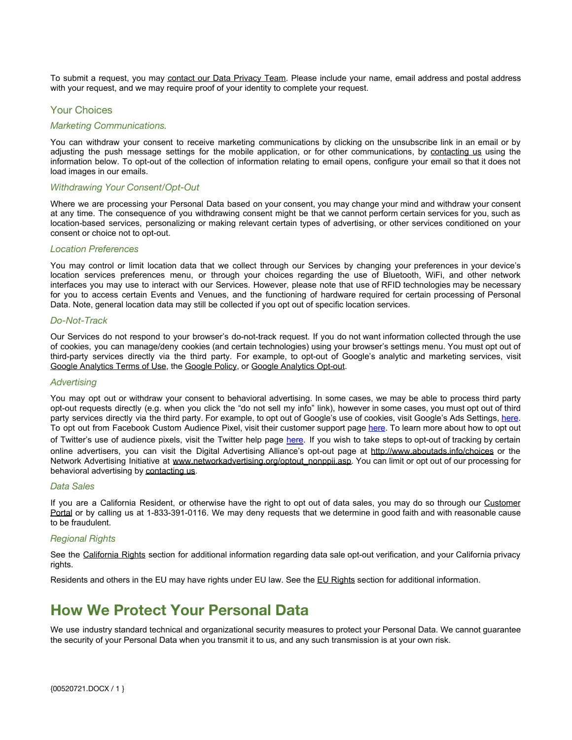To submit a request, you may contact our Data [Privacy](#page-1-1) Team. Please include your name, email address and postal address with your request, and we may require proof of your identity to complete your request.

#### <span id="page-11-0"></span>Your Choices

#### *Marketing Communications.*

You can withdraw your consent to receive marketing communications by clicking on the unsubscribe link in an email or by adjusting the push message settings for the mobile application, or for other communications, by [contacting](#page-1-1) us using the information below. To opt-out of the collection of information relating to email opens, configure your email so that it does not load images in our emails.

#### *Withdrawing Your Consent/Opt-Out*

Where we are processing your Personal Data based on your consent, you may change your mind and withdraw your consent at any time. The consequence of you withdrawing consent might be that we cannot perform certain services for you, such as location-based services, personalizing or making relevant certain types of advertising, or other services conditioned on your consent or choice not to opt-out.

#### *Location Preferences*

You may control or limit location data that we collect through our Services by changing your preferences in your device's location services preferences menu, or through your choices regarding the use of Bluetooth, WiFi, and other network interfaces you may use to interact with our Services. However, please note that use of RFID technologies may be necessary for you to access certain Events and Venues, and the functioning of hardware required for certain processing of Personal Data. Note, general location data may still be collected if you opt out of specific location services.

#### *Do-Not-Track*

Our Services do not respond to your browser's do-not-track request. If you do not want information collected through the use of cookies, you can manage/deny cookies (and certain technologies) using your browser's settings menu. You must opt out of third-party services directly via the third party. For example, to opt-out of Google's analytic and marketing services, visit [Google Analytics Terms of Use](http://www.google.com/analytics/tos.html), the [Google Policy,](http://www.google.com/privacypolicy.html) or [Google Analytics Opt-out](https://tools.google.com/dlpage/gaoptout?hl=en-GB).

#### *Advertising*

You may opt out or withdraw your consent to behavioral advertising. In some cases, we may be able to process third party opt-out requests directly (e.g. when you click the "do not sell my info" link), however in some cases, you must opt out of third party services directly via the third party. For example, to opt out of Google's use of cookies, visit Google's Ads Settings, [here](https://adssettings.google.com/). To opt out from Facebook Custom Audience Pixel, visit their customer support page [here](https://www.facebook.com/help/247395082112892). To learn more about how to opt out of Twitter's use of audience pixels, visit the Twitter help page [here.](https://support.twitter.com/articles/20170407) If you wish to take steps to opt-out of tracking by certain online advertisers, you can visit the Digital Advertising Alliance's opt-out page at <http://www.aboutads.info/choices> or the Network Advertising Initiative at [www.networkadvertising.org/optout\\_nonppii.asp](http://www.networkadvertising.org/optout_nonppii.asp). You can limit or opt out of our processing for behavioral advertising by [contacting us](#page-1-1).

#### *Data Sales*

If you are a California Resident, or otherwise have the right to opt out of data sales, you may do so through our Customer Portal or by calling us at 1-833-391-0116. We may deny requests that we determine in good faith and with reasonable cause to be fraudulent.

#### *Regional Rights*

See the [California](#page-13-0) Rights section for additional information regarding data sale opt-out verification, and your California privacy rights.

Residents and others in the EU may have rights under EU law. See the [EU Rights](#page-12-0) section for additional information.

### <span id="page-11-1"></span>**How We Protect Your Personal Data**

We use industry standard technical and organizational security measures to protect your Personal Data. We cannot guarantee the security of your Personal Data when you transmit it to us, and any such transmission is at your own risk.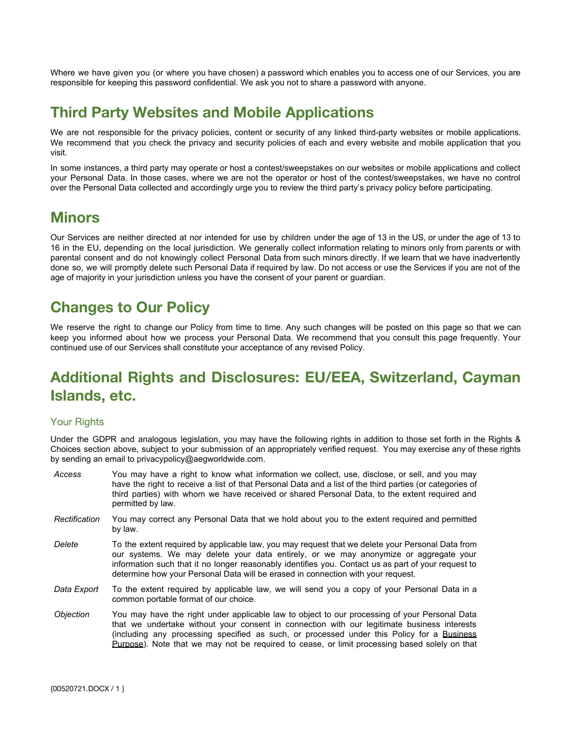Where we have given you (or where you have chosen) a password which enables you to access one of our Services, you are responsible for keeping this password confidential. We ask you not to share a password with anyone.

### <span id="page-12-1"></span>**Third Party Websites and Mobile Applications**

We are not responsible for the privacy policies, content or security of any linked third-party websites or mobile applications. We recommend that you check the privacy and security policies of each and every website and mobile application that you visit.

In some instances, a third party may operate or host a contest/sweepstakes on our websites or mobile applications and collect your Personal Data. In those cases, where we are not the operator or host of the contest/sweepstakes, we have no control over the Personal Data collected and accordingly urge you to review the third party's privacy policy before participating.

### <span id="page-12-2"></span>**Minors**

Our Services are neither directed at nor intended for use by children under the age of 13 in the US, or under the age of 13 to 16 in the EU, depending on the local jurisdiction. We generally collect information relating to minors only from parents or with parental consent and do not knowingly collect Personal Data from such minors directly. If we learn that we have inadvertently done so, we will promptly delete such Personal Data if required by law. Do not access or use the Services if you are not of the age of majority in your jurisdiction unless you have the consent of your parent or guardian.

# <span id="page-12-3"></span>**Changes to Our Policy**

We reserve the right to change our Policy from time to time. Any such changes will be posted on this page so that we can keep you informed about how we process your Personal Data. We recommend that you consult this page frequently. Your continued use of our Services shall constitute your acceptance of any revised Policy.

# <span id="page-12-0"></span>**Additional Rights and Disclosures: EU/EEA, Switzerland, Cayman Islands, etc.**

#### <span id="page-12-4"></span>Your Rights

Under the GDPR and analogous legislation, you may have the following rights in addition to those set forth in the Rights & Choices section above, subject to your submission of an appropriately verified request. You may exercise any of these rights by sending an email to privacypolicy@aegworldwide.com.

- *Access* You may have a right to know what information we collect, use, disclose, or sell, and you may have the right to receive a list of that Personal Data and a list of the third parties (or categories of third parties) with whom we have received or shared Personal Data, to the extent required and permitted by law.
- *Rectification* You may correct any Personal Data that we hold about you to the extent required and permitted by law.
- *Delete* To the extent required by applicable law, you may request that we delete your Personal Data from our systems. We may delete your data entirely, or we may anonymize or aggregate your information such that it no longer reasonably identifies you. Contact us as part of your request to determine how your Personal Data will be erased in connection with your request.
- *Data Export* To the extent required by applicable law, we will send you a copy of your Personal Data in a common portable format of our choice.
- *Objection* You may have the right under applicable law to object to our processing of your Personal Data that we undertake without your consent in connection with our legitimate business interests (including any processing specified as such, or processed under this Policy for a [Business](#page-7-0) [Purpose\)](#page-7-0). Note that we may not be required to cease, or limit processing based solely on that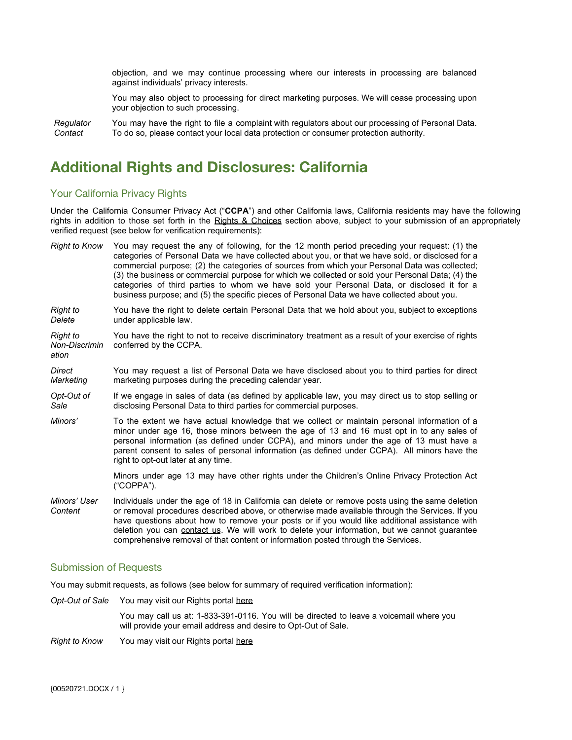objection, and we may continue processing where our interests in processing are balanced against individuals' privacy interests.

You may also object to processing for direct marketing purposes. We will cease processing upon your objection to such processing.

*Regulator Contact* You may have the right to file a complaint with regulators about our processing of Personal Data. To do so, please contact your local data protection or consumer protection authority.

### <span id="page-13-0"></span>**Additional Rights and Disclosures: California**

#### <span id="page-13-1"></span>Your California Privacy Rights

Under the California Consumer Privacy Act ("**CCPA**") and other California laws, California residents may have the following rights in addition to those set forth in the Rights & [Choices](#page-10-0) section above, subject to your submission of an appropriately verified request (see below for verification requirements):

| <b>Right to Know</b>               | You may request the any of following, for the 12 month period preceding your request: (1) the<br>categories of Personal Data we have collected about you, or that we have sold, or disclosed for a<br>commercial purpose; (2) the categories of sources from which your Personal Data was collected;<br>(3) the business or commercial purpose for which we collected or sold your Personal Data; (4) the<br>categories of third parties to whom we have sold your Personal Data, or disclosed it for a<br>business purpose; and (5) the specific pieces of Personal Data we have collected about you. |
|------------------------------------|--------------------------------------------------------------------------------------------------------------------------------------------------------------------------------------------------------------------------------------------------------------------------------------------------------------------------------------------------------------------------------------------------------------------------------------------------------------------------------------------------------------------------------------------------------------------------------------------------------|
| Right to<br>Delete                 | You have the right to delete certain Personal Data that we hold about you, subject to exceptions<br>under applicable law.                                                                                                                                                                                                                                                                                                                                                                                                                                                                              |
| Right to<br>Non-Discrimin<br>ation | You have the right to not to receive discriminatory treatment as a result of your exercise of rights<br>conferred by the CCPA.                                                                                                                                                                                                                                                                                                                                                                                                                                                                         |
| Direct<br>Marketing                | You may request a list of Personal Data we have disclosed about you to third parties for direct<br>marketing purposes during the preceding calendar year.                                                                                                                                                                                                                                                                                                                                                                                                                                              |
| Opt-Out of<br>Sale                 | If we engage in sales of data (as defined by applicable law, you may direct us to stop selling or<br>disclosing Personal Data to third parties for commercial purposes.                                                                                                                                                                                                                                                                                                                                                                                                                                |
| Minors'                            | To the extent we have actual knowledge that we collect or maintain personal information of a<br>minor under age 16, those minors between the age of 13 and 16 must opt in to any sales of<br>personal information (as defined under CCPA), and minors under the age of 13 must have a<br>parent consent to sales of personal information (as defined under CCPA). All minors have the<br>right to opt-out later at any time.                                                                                                                                                                           |
|                                    | Minors under age 13 may have other rights under the Children's Online Privacy Protection Act<br>("COPPA").                                                                                                                                                                                                                                                                                                                                                                                                                                                                                             |
| Minors' User<br>Content            | Individuals under the age of 18 in California can delete or remove posts using the same deletion<br>or removal procedures described above, or otherwise made available through the Services. If you<br>have questions about how to remove your posts or if you would like additional assistance with<br>deletion you can contact us. We will work to delete your information, but we cannot guarantee<br>comprehensive removal of that content or information posted through the Services.                                                                                                             |

#### <span id="page-13-2"></span>Submission of Requests

You may submit requests, as follows (see below for summary of required verification information):

*Opt-Out of Sale* You may visit our Rights portal here

You may call us at: 1-833-391-0116. You will be directed to leave a voicemail where you will provide your email address and desire to Opt-Out of Sale.

*Right to Know* You may visit our Rights portal here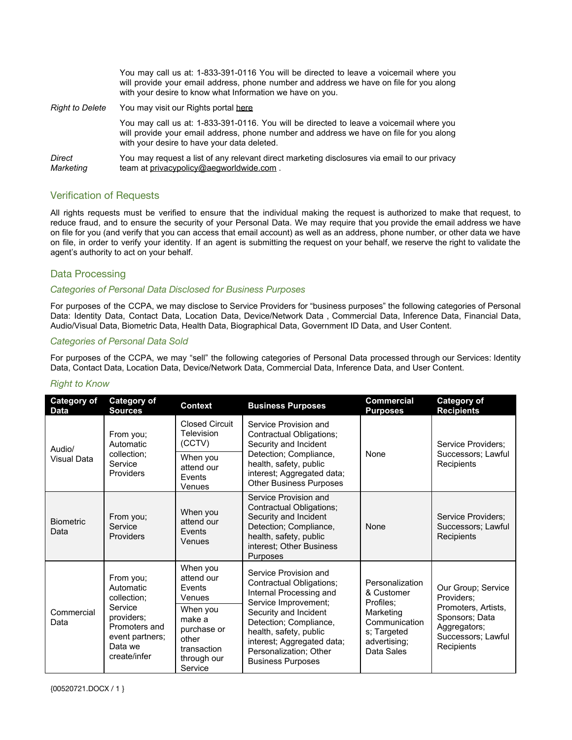|                        | You may call us at: 1-833-391-0116 You will be directed to leave a voicemail where you<br>will provide your email address, phone number and address we have on file for you along<br>with your desire to know what Information we have on you. |
|------------------------|------------------------------------------------------------------------------------------------------------------------------------------------------------------------------------------------------------------------------------------------|
| <b>Right to Delete</b> | You may visit our Rights portal here                                                                                                                                                                                                           |
|                        | You may call us at: 1-833-391-0116. You will be directed to leave a voicemail where you<br>will provide your email address, phone number and address we have on file for you along<br>with your desire to have your data deleted.              |
| Direct<br>Marketing    | You may request a list of any relevant direct marketing disclosures via email to our privacy<br>team at privacypolicy@aegworldwide.com.                                                                                                        |

#### <span id="page-14-0"></span>Verification of Requests

All rights requests must be verified to ensure that the individual making the request is authorized to make that request, to reduce fraud, and to ensure the security of your Personal Data. We may require that you provide the email address we have on file for you (and verify that you can access that email account) as well as an address, phone number, or other data we have on file, in order to verify your identity. If an agent is submitting the request on your behalf, we reserve the right to validate the agent's authority to act on your behalf.

#### <span id="page-14-1"></span>Data Processing

#### *Categories of Personal Data Disclosed for Business Purposes*

For purposes of the CCPA, we may disclose to Service Providers for "business purposes" the following categories of Personal Data: Identity Data, Contact Data, Location Data, Device/Network Data , Commercial Data, Inference Data, Financial Data, Audio/Visual Data, Biometric Data, Health Data, Biographical Data, Government ID Data, and User Content.

#### *Categories of Personal Data Sold*

For purposes of the CCPA, we may "sell" the following categories of Personal Data processed through our Services: Identity Data, Contact Data, Location Data, Device/Network Data, Commercial Data, Inference Data, and User Content.

| <b>Category of</b><br><b>Data</b> | Category of<br><b>Sources</b>                                                                                                                                                               | Context                                       | <b>Business Purposes</b>                                                                                                                                                                                                                                              | <b>Commercial</b><br><b>Purposes</b>                                                                                                                                     | <b>Category of</b><br><b>Recipients</b>                |
|-----------------------------------|---------------------------------------------------------------------------------------------------------------------------------------------------------------------------------------------|-----------------------------------------------|-----------------------------------------------------------------------------------------------------------------------------------------------------------------------------------------------------------------------------------------------------------------------|--------------------------------------------------------------------------------------------------------------------------------------------------------------------------|--------------------------------------------------------|
| Audio/<br>Visual Data             | From you;<br>Automatic<br>collection;<br>Service<br>Providers                                                                                                                               | <b>Closed Circuit</b><br>Television<br>(CCTV) | Service Provision and<br>Contractual Obligations;<br>Security and Incident<br>Detection; Compliance,<br>health, safety, public<br>interest; Aggregated data;<br><b>Other Business Purposes</b>                                                                        | None                                                                                                                                                                     | Service Providers;<br>Successors; Lawful<br>Recipients |
|                                   |                                                                                                                                                                                             | When you<br>attend our<br>Events<br>Venues    |                                                                                                                                                                                                                                                                       |                                                                                                                                                                          |                                                        |
| <b>Biometric</b><br>Data          | From you;<br>Service<br>Providers                                                                                                                                                           | When you<br>attend our<br>Events<br>Venues    | Service Provision and<br>Contractual Obligations;<br>Security and Incident<br>Detection; Compliance,<br>health, safety, public<br>interest; Other Business<br>Purposes                                                                                                | None                                                                                                                                                                     | Service Providers;<br>Successors; Lawful<br>Recipients |
| Commercial<br>Data                | From you;<br>Automatic<br>Events<br>collection;<br>Venues<br>Service<br>When you<br>providers;<br>make a<br>Promoters and<br>event partners;<br>other<br>Data we<br>create/infer<br>Service | When you<br>attend our                        | Service Provision and<br>Contractual Obligations;<br>Internal Processing and<br>Service Improvement;<br>Security and Incident<br>Detection; Compliance,<br>health, safety, public<br>interest; Aggregated data;<br>Personalization; Other<br><b>Business Purposes</b> | Personalization<br>& Customer<br>Providers:<br>Profiles;<br>Promoters, Artists,<br>Marketing<br>Communication<br>s; Targeted<br>advertising;<br>Recipients<br>Data Sales | Our Group; Service                                     |
|                                   |                                                                                                                                                                                             | purchase or<br>transaction<br>through our     |                                                                                                                                                                                                                                                                       |                                                                                                                                                                          | Sponsors; Data<br>Aggregators;<br>Successors; Lawful   |

#### *Right to Know*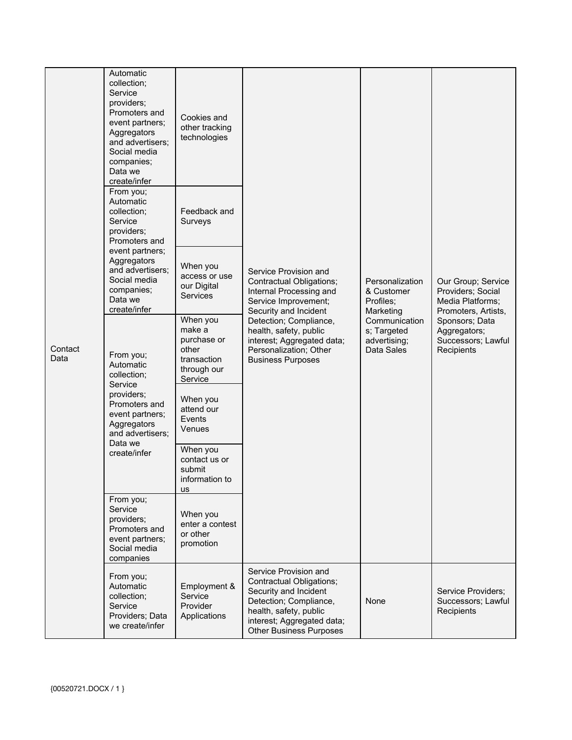| Contact<br>Data | Automatic<br>collection;<br>Service<br>providers;<br>Promoters and<br>event partners;<br>Aggregators<br>and advertisers;<br>Social media<br>companies;<br>Data we<br>create/infer | Cookies and<br>other tracking<br>technologies                                       | Service Provision and<br>Contractual Obligations;<br>Internal Processing and<br>Service Improvement;<br>Security and Incident<br>Marketing<br>Detection; Compliance,<br>health, safety, public<br>interest; Aggregated data;<br>Personalization; Other<br><b>Business Purposes</b> |                                                            | Our Group; Service<br>Providers; Social<br>Media Platforms;<br>Promoters, Artists,<br>Sponsors; Data<br>Aggregators;<br>Successors; Lawful<br>Recipients |
|-----------------|-----------------------------------------------------------------------------------------------------------------------------------------------------------------------------------|-------------------------------------------------------------------------------------|------------------------------------------------------------------------------------------------------------------------------------------------------------------------------------------------------------------------------------------------------------------------------------|------------------------------------------------------------|----------------------------------------------------------------------------------------------------------------------------------------------------------|
|                 | From you;<br>Automatic<br>collection;<br>Service<br>providers;<br>Promoters and                                                                                                   | Feedback and<br>Surveys                                                             |                                                                                                                                                                                                                                                                                    | Personalization<br>& Customer<br>Profiles:                 |                                                                                                                                                          |
|                 | event partners;<br>Aggregators<br>and advertisers;<br>Social media<br>companies;<br>Data we<br>create/infer                                                                       | When you<br>access or use<br>our Digital<br>Services                                |                                                                                                                                                                                                                                                                                    |                                                            |                                                                                                                                                          |
|                 | From you;<br>Automatic<br>collection;<br>Service<br>providers;<br>Promoters and<br>event partners;<br>Aggregators<br>and advertisers:<br>Data we<br>create/infer                  | When you<br>make a<br>purchase or<br>other<br>transaction<br>through our<br>Service |                                                                                                                                                                                                                                                                                    | Communication<br>s; Targeted<br>advertising;<br>Data Sales |                                                                                                                                                          |
|                 |                                                                                                                                                                                   | When you<br>attend our<br>Events<br>Venues                                          |                                                                                                                                                                                                                                                                                    |                                                            |                                                                                                                                                          |
|                 |                                                                                                                                                                                   | When you<br>contact us or<br>submit<br>information to<br>us                         |                                                                                                                                                                                                                                                                                    |                                                            |                                                                                                                                                          |
|                 | From you;<br>Service<br>providers;<br>Promoters and<br>event partners;<br>Social media<br>companies                                                                               | When you<br>enter a contest<br>or other<br>promotion                                |                                                                                                                                                                                                                                                                                    |                                                            |                                                                                                                                                          |
|                 | From you;<br>Automatic<br>collection;<br>Service<br>Providers: Data<br>we create/infer                                                                                            | Employment &<br>Service<br>Provider<br>Applications                                 | Service Provision and<br>Contractual Obligations;<br>Security and Incident<br>Detection; Compliance,<br>health, safety, public<br>interest; Aggregated data;<br><b>Other Business Purposes</b>                                                                                     | None                                                       | Service Providers;<br>Successors; Lawful<br>Recipients                                                                                                   |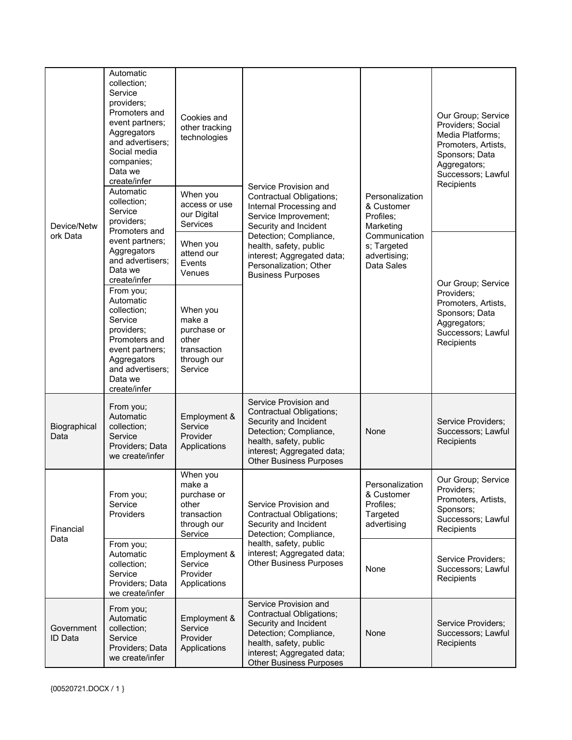| Device/Netw<br>ork Data | Automatic<br>collection;<br>Service<br>providers;<br>Promoters and<br>event partners;<br>Aggregators<br>and advertisers;<br>Social media<br>companies;<br>Data we<br>create/infer<br>Automatic<br>collection;<br>Service<br>providers; | Cookies and<br>other tracking<br>technologies<br>When you<br>access or use<br>our Digital<br>Services | Service Provision and<br>Contractual Obligations;<br>Internal Processing and<br>Service Improvement;<br>Security and Incident<br>Detection; Compliance,<br>health, safety, public<br>interest; Aggregated data;<br>Personalization; Other<br><b>Business Purposes</b> | Personalization<br>& Customer<br>Profiles:<br>Marketing<br>Communication<br>s; Targeted<br>advertising;<br>Data Sales | Our Group; Service<br>Providers; Social<br>Media Platforms;<br>Promoters, Artists,<br>Sponsors; Data<br>Aggregators;<br>Successors; Lawful<br>Recipients |
|-------------------------|----------------------------------------------------------------------------------------------------------------------------------------------------------------------------------------------------------------------------------------|-------------------------------------------------------------------------------------------------------|-----------------------------------------------------------------------------------------------------------------------------------------------------------------------------------------------------------------------------------------------------------------------|-----------------------------------------------------------------------------------------------------------------------|----------------------------------------------------------------------------------------------------------------------------------------------------------|
|                         | Promoters and<br>event partners;<br>Aggregators<br>and advertisers;<br>Data we<br>create/infer<br>From you;<br>Automatic<br>collection;<br>Service<br>providers;                                                                       | When you<br>attend our<br>Events<br>Venues<br>When you<br>make a<br>purchase or                       |                                                                                                                                                                                                                                                                       |                                                                                                                       | Our Group; Service<br>Providers;<br>Promoters, Artists,<br>Sponsors; Data<br>Aggregators;<br>Successors; Lawful                                          |
|                         | Promoters and<br>event partners;<br>Aggregators<br>and advertisers;<br>Data we<br>create/infer                                                                                                                                         | other<br>transaction<br>through our<br>Service                                                        |                                                                                                                                                                                                                                                                       |                                                                                                                       | Recipients                                                                                                                                               |
| Biographical<br>Data    | From you;<br>Automatic<br>collection;<br>Service<br>Providers; Data<br>we create/infer                                                                                                                                                 | Employment &<br>Service<br>Provider<br>Applications                                                   | Service Provision and<br>Contractual Obligations;<br>Security and Incident<br>Detection; Compliance,<br>health, safety, public<br>interest; Aggregated data;<br><b>Other Business Purposes</b>                                                                        | None                                                                                                                  | Service Providers;<br>Successors; Lawful<br>Recipients                                                                                                   |
| Financial<br>Data       | From you;<br>Service<br>Providers                                                                                                                                                                                                      | When you<br>make a<br>purchase or<br>other<br>transaction<br>through our<br>Service                   | Service Provision and<br>Contractual Obligations;<br>Security and Incident<br>Detection; Compliance,<br>health, safety, public<br>interest; Aggregated data;<br><b>Other Business Purposes</b>                                                                        | Personalization<br>& Customer<br>Profiles;<br>Targeted<br>advertising                                                 | Our Group; Service<br>Providers;<br>Promoters, Artists,<br>Sponsors;<br>Successors; Lawful<br>Recipients                                                 |
|                         | From you;<br>Automatic<br>collection;<br>Service<br>Providers; Data<br>we create/infer                                                                                                                                                 | Employment &<br>Service<br>Provider<br>Applications                                                   |                                                                                                                                                                                                                                                                       | None                                                                                                                  | Service Providers;<br>Successors; Lawful<br>Recipients                                                                                                   |
| Government<br>ID Data   | From you;<br>Automatic<br>collection;<br>Service<br>Providers; Data<br>we create/infer                                                                                                                                                 | Employment &<br>Service<br>Provider<br>Applications                                                   | Service Provision and<br>Contractual Obligations;<br>Security and Incident<br>Detection; Compliance,<br>health, safety, public<br>interest; Aggregated data;<br><b>Other Business Purposes</b>                                                                        | None                                                                                                                  | Service Providers;<br>Successors; Lawful<br>Recipients                                                                                                   |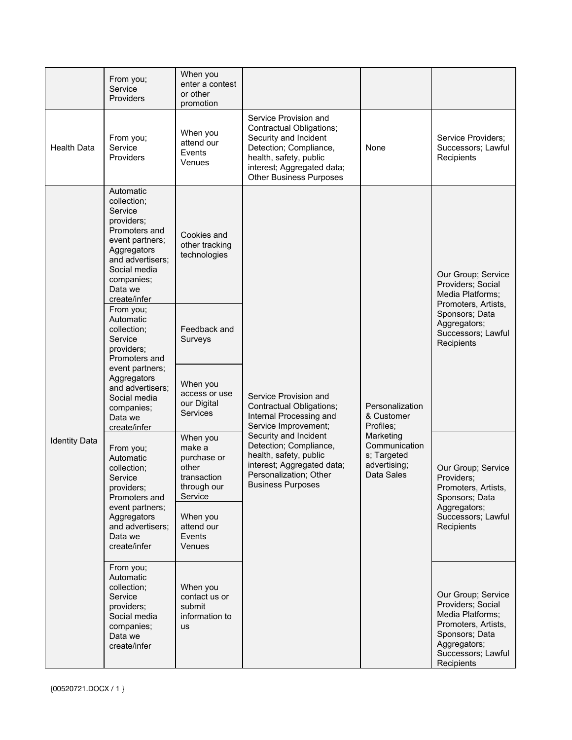|                      | From you;<br>Service<br>Providers                                                                                                                                                                                                                                                                     | When you<br>enter a contest<br>or other<br>promotion               |                                                                                                                                                                                                                                                                       |                                                                                                                       |                                                                                                                                                          |
|----------------------|-------------------------------------------------------------------------------------------------------------------------------------------------------------------------------------------------------------------------------------------------------------------------------------------------------|--------------------------------------------------------------------|-----------------------------------------------------------------------------------------------------------------------------------------------------------------------------------------------------------------------------------------------------------------------|-----------------------------------------------------------------------------------------------------------------------|----------------------------------------------------------------------------------------------------------------------------------------------------------|
| <b>Health Data</b>   | From you;<br>Service<br>Providers                                                                                                                                                                                                                                                                     | When you<br>attend our<br>Events<br>Venues                         | Service Provision and<br><b>Contractual Obligations;</b><br>Security and Incident<br>Detection; Compliance,<br>health, safety, public<br>interest; Aggregated data;<br><b>Other Business Purposes</b>                                                                 | None                                                                                                                  | Service Providers;<br>Successors; Lawful<br>Recipients                                                                                                   |
|                      | Automatic<br>collection;<br>Service<br>providers;<br>Promoters and<br>event partners;<br>Aggregators<br>and advertisers:<br>Social media<br>companies;<br>Data we<br>create/infer                                                                                                                     | Cookies and<br>other tracking<br>technologies                      |                                                                                                                                                                                                                                                                       |                                                                                                                       | Our Group; Service<br>Providers; Social<br>Media Platforms;<br>Promoters, Artists,                                                                       |
| <b>Identity Data</b> | From you;<br>Automatic<br>collection:<br>Service<br>providers;<br>Promoters and<br>event partners;<br>Aggregators<br>and advertisers;<br>Social media<br>companies;<br>Data we<br>create/infer                                                                                                        | Feedback and<br>Surveys                                            | Service Provision and<br>Contractual Obligations;<br>Internal Processing and<br>Service Improvement;<br>Security and Incident<br>Detection; Compliance,<br>health, safety, public<br>interest; Aggregated data;<br>Personalization; Other<br><b>Business Purposes</b> | Personalization<br>& Customer<br>Profiles:<br>Marketing<br>Communication<br>s; Targeted<br>advertising;<br>Data Sales | Sponsors; Data<br>Aggregators;<br>Successors; Lawful<br>Recipients                                                                                       |
|                      |                                                                                                                                                                                                                                                                                                       | When you<br>access or use<br>our Digital<br>Services               |                                                                                                                                                                                                                                                                       |                                                                                                                       |                                                                                                                                                          |
|                      | When you<br>make a<br>From you;<br>purchase or<br>Automatic<br>other<br>collection:<br>transaction<br>Service<br>through our<br>providers;<br>Service<br>Promoters and<br>event partners;<br>Aggregators<br>When you<br>and advertisers:<br>attend our<br>Data we<br>Events<br>create/infer<br>Venues |                                                                    |                                                                                                                                                                                                                                                                       |                                                                                                                       | Our Group; Service<br>Providers:<br>Promoters, Artists,<br>Sponsors; Data                                                                                |
|                      |                                                                                                                                                                                                                                                                                                       |                                                                    |                                                                                                                                                                                                                                                                       | Aggregators;<br>Successors; Lawful<br>Recipients                                                                      |                                                                                                                                                          |
|                      | From you;<br>Automatic<br>collection;<br>Service<br>providers;<br>Social media<br>companies;<br>Data we<br>create/infer                                                                                                                                                                               | When you<br>contact us or<br>submit<br>information to<br><b>us</b> |                                                                                                                                                                                                                                                                       |                                                                                                                       | Our Group; Service<br>Providers; Social<br>Media Platforms;<br>Promoters, Artists,<br>Sponsors; Data<br>Aggregators;<br>Successors; Lawful<br>Recipients |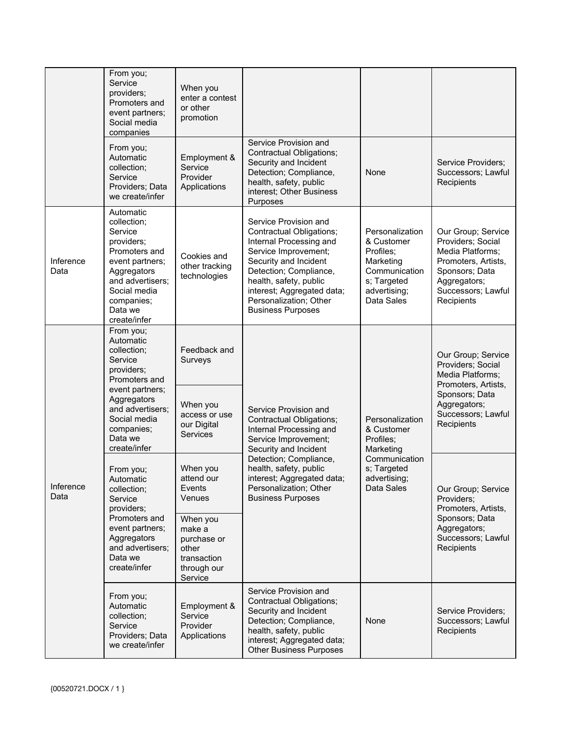|                   | From you;<br>Service<br>providers;<br>Promoters and<br>event partners;<br>Social media<br>companies                                                                                            | When you<br>enter a contest<br>or other<br>promotion |                                                                                                                                                                                                                                                                       |                                                                                                                       |                                                                                                                                                          |
|-------------------|------------------------------------------------------------------------------------------------------------------------------------------------------------------------------------------------|------------------------------------------------------|-----------------------------------------------------------------------------------------------------------------------------------------------------------------------------------------------------------------------------------------------------------------------|-----------------------------------------------------------------------------------------------------------------------|----------------------------------------------------------------------------------------------------------------------------------------------------------|
|                   | From you;<br>Automatic<br>collection;<br>Service<br>Providers; Data<br>we create/infer                                                                                                         | Employment &<br>Service<br>Provider<br>Applications  | Service Provision and<br>Contractual Obligations;<br>Security and Incident<br>Detection; Compliance,<br>health, safety, public<br>interest; Other Business<br>Purposes                                                                                                | None                                                                                                                  | Service Providers;<br>Successors; Lawful<br>Recipients                                                                                                   |
| Inference<br>Data | Automatic<br>collection;<br>Service<br>providers;<br>Promoters and<br>event partners;<br>Aggregators<br>and advertisers;<br>Social media<br>companies;<br>Data we<br>create/infer              | Cookies and<br>other tracking<br>technologies        | Service Provision and<br>Contractual Obligations;<br>Internal Processing and<br>Service Improvement;<br>Security and Incident<br>Detection; Compliance,<br>health, safety, public<br>interest; Aggregated data;<br>Personalization; Other<br><b>Business Purposes</b> | Personalization<br>& Customer<br>Profiles;<br>Marketing<br>Communication<br>s; Targeted<br>advertising;<br>Data Sales | Our Group; Service<br>Providers; Social<br>Media Platforms:<br>Promoters, Artists,<br>Sponsors; Data<br>Aggregators;<br>Successors; Lawful<br>Recipients |
| Interence<br>Data | From you;<br>Automatic<br>collection;<br>Service<br>providers;<br>Promoters and<br>event partners;<br>Aggregators<br>and advertisers;<br>Social media<br>companies;<br>Data we<br>create/infer | Feedback and<br>Surveys                              | Service Provision and<br>Contractual Obligations;<br>Internal Processing and<br>Service Improvement;<br>Security and Incident                                                                                                                                         | Personalization<br>& Customer<br>Profiles;<br>Marketing                                                               | Our Group; Service<br>Providers; Social<br>Media Platforms;<br>Promoters, Artists,<br>Sponsors; Data<br>Aggregators;<br>Successors; Lawful<br>Recipients |
|                   |                                                                                                                                                                                                | When you<br>access or use<br>our Digital<br>Services |                                                                                                                                                                                                                                                                       |                                                                                                                       |                                                                                                                                                          |
|                   | From you;<br>Automatic<br>collection;<br>Service<br>providers;                                                                                                                                 | When you<br>attend our<br>Events<br>Venues           | Detection; Compliance,<br>health, safety, public<br>interest; Aggregated data;<br>Personalization; Other<br><b>Business Purposes</b>                                                                                                                                  | Communication<br>s; Targeted<br>advertising;<br>Data Sales                                                            | Our Group; Service<br>Providers:<br>Promoters, Artists,<br>Sponsors; Data<br>Aggregators;<br>Successors; Lawful<br>Recipients                            |
|                   | Promoters and<br>When you<br>event partners;<br>make a<br>Aggregators<br>purchase or<br>and advertisers;<br>other<br>Data we<br>transaction<br>create/infer<br>through our                     | Service                                              |                                                                                                                                                                                                                                                                       |                                                                                                                       |                                                                                                                                                          |
|                   | From you;<br>Automatic<br>collection;<br>Service<br>Providers; Data<br>we create/infer                                                                                                         | Employment &<br>Service<br>Provider<br>Applications  | Service Provision and<br>Contractual Obligations;<br>Security and Incident<br>Detection; Compliance,<br>health, safety, public<br>interest; Aggregated data;<br><b>Other Business Purposes</b>                                                                        | None                                                                                                                  | Service Providers;<br>Successors; Lawful<br>Recipients                                                                                                   |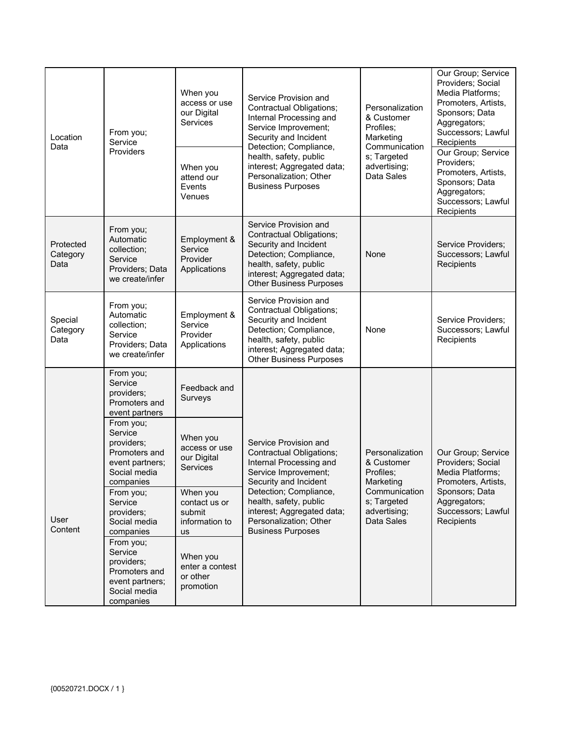| Location<br>Data              | From you;<br>Service<br>Providers                                                                   | When you<br>access or use<br>our Digital<br>Services        | Service Provision and<br>Contractual Obligations;<br>Internal Processing and<br>Service Improvement;<br>Security and Incident<br>Detection; Compliance,<br>health, safety, public              | Personalization<br>& Customer<br>Profiles:<br>Marketing<br>Communication<br>s; Targeted | Our Group; Service<br>Providers; Social<br>Media Platforms:<br>Promoters, Artists,<br>Sponsors; Data<br>Aggregators;<br>Successors; Lawful<br>Recipients<br>Our Group; Service |
|-------------------------------|-----------------------------------------------------------------------------------------------------|-------------------------------------------------------------|------------------------------------------------------------------------------------------------------------------------------------------------------------------------------------------------|-----------------------------------------------------------------------------------------|--------------------------------------------------------------------------------------------------------------------------------------------------------------------------------|
|                               |                                                                                                     | When you<br>attend our<br>Events<br>Venues                  | interest; Aggregated data;<br>Personalization; Other<br><b>Business Purposes</b>                                                                                                               | advertising;<br>Data Sales                                                              | Providers;<br>Promoters, Artists,<br>Sponsors; Data<br>Aggregators;<br>Successors; Lawful<br>Recipients                                                                        |
| Protected<br>Category<br>Data | From you;<br>Automatic<br>collection;<br>Service<br>Providers; Data<br>we create/infer              | Employment &<br>Service<br>Provider<br>Applications         | Service Provision and<br>Contractual Obligations;<br>Security and Incident<br>Detection; Compliance,<br>health, safety, public<br>interest; Aggregated data;<br><b>Other Business Purposes</b> | None                                                                                    | Service Providers;<br>Successors; Lawful<br>Recipients                                                                                                                         |
| Special<br>Category<br>Data   | From you;<br>Automatic<br>collection;<br>Service<br>Providers; Data<br>we create/infer              | Employment &<br>Service<br>Provider<br>Applications         | Service Provision and<br>Contractual Obligations;<br>Security and Incident<br>Detection; Compliance,<br>health, safety, public<br>interest; Aggregated data;<br><b>Other Business Purposes</b> | None                                                                                    | Service Providers;<br>Successors; Lawful<br>Recipients                                                                                                                         |
|                               | From you;<br>Service<br>providers;<br>Promoters and<br>event partners                               | Feedback and<br>Surveys                                     |                                                                                                                                                                                                |                                                                                         |                                                                                                                                                                                |
|                               | From you;<br>Service<br>providers;<br>Promoters and<br>event partners;<br>Social media<br>companies | When you<br>access or use<br>our Digital<br>Services        | Service Provision and<br>Contractual Obligations;<br>Internal Processing and<br>Service Improvement;<br>Security and Incident                                                                  | Personalization<br>& Customer<br>Profiles:<br>Marketing                                 | Our Group; Service<br>Providers; Social<br>Media Platforms;<br>Promoters, Artists,                                                                                             |
| User<br>Content               | From you;<br>Service<br>providers;<br>Social media<br>companies                                     | When you<br>contact us or<br>submit<br>information to<br>us | Detection; Compliance,<br>health, safety, public<br>interest; Aggregated data;<br>Personalization; Other<br><b>Business Purposes</b>                                                           | Communication<br>s; Targeted<br>advertising;<br>Data Sales                              | Sponsors; Data<br>Aggregators;<br>Successors; Lawful<br>Recipients                                                                                                             |
|                               | From you;<br>Service<br>providers;<br>Promoters and<br>event partners;<br>Social media<br>companies | When you<br>enter a contest<br>or other<br>promotion        |                                                                                                                                                                                                |                                                                                         |                                                                                                                                                                                |